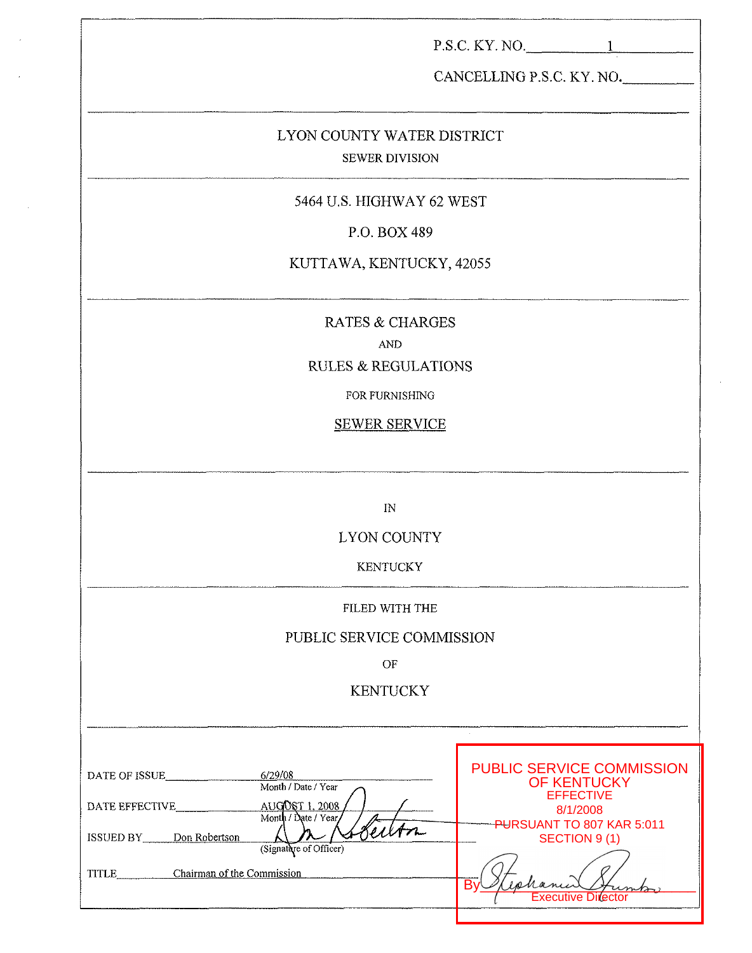|                                                                                     | $P.S.C. KY. NO.$ 1                                                  |
|-------------------------------------------------------------------------------------|---------------------------------------------------------------------|
|                                                                                     | CANCELLING P.S.C. KY. NO.                                           |
| LYON COUNTY WATER DISTRICT<br><b>SEWER DIVISION</b>                                 |                                                                     |
| 5464 U.S. HIGHWAY 62 WEST                                                           |                                                                     |
| P.O. BOX 489                                                                        |                                                                     |
| KUTTAWA, KENTUCKY, 42055                                                            |                                                                     |
| RATES & CHARGES<br><b>AND</b><br><b>RULES &amp; REGULATIONS</b>                     |                                                                     |
| FOR FURNISHING                                                                      |                                                                     |
| <b>SEWER SERVICE</b>                                                                |                                                                     |
|                                                                                     |                                                                     |
| IN                                                                                  |                                                                     |
| LYON COUNTY                                                                         |                                                                     |
| <b>KENTUCKY</b>                                                                     |                                                                     |
| FILED WITH THE                                                                      |                                                                     |
| PUBLIC SERVICE COMMISSION                                                           |                                                                     |
| OF                                                                                  |                                                                     |
| <b>KENTUCKY</b>                                                                     |                                                                     |
|                                                                                     |                                                                     |
| 6/29/08<br>DATE OF ISSUE<br>Month / Date / Year<br>AUGOST 1, 2008<br>DATE EFFECTIVE | <b>PUBLIC SERVICE COMMISSION</b><br>OF KENTUCKY<br><b>EFFECTIVE</b> |
| Month / Date / Year<br>Seilon<br>ISSUED BY Don Robertson<br>(Signature of Officer)  | 8/1/2008<br>PURSUANT TO 807 KAR 5:011<br>SECTION 9(1)               |
| TITLE Chairman of the Commission                                                    | Executive Director                                                  |

 $\sim$ 

 $\mathcal{A}$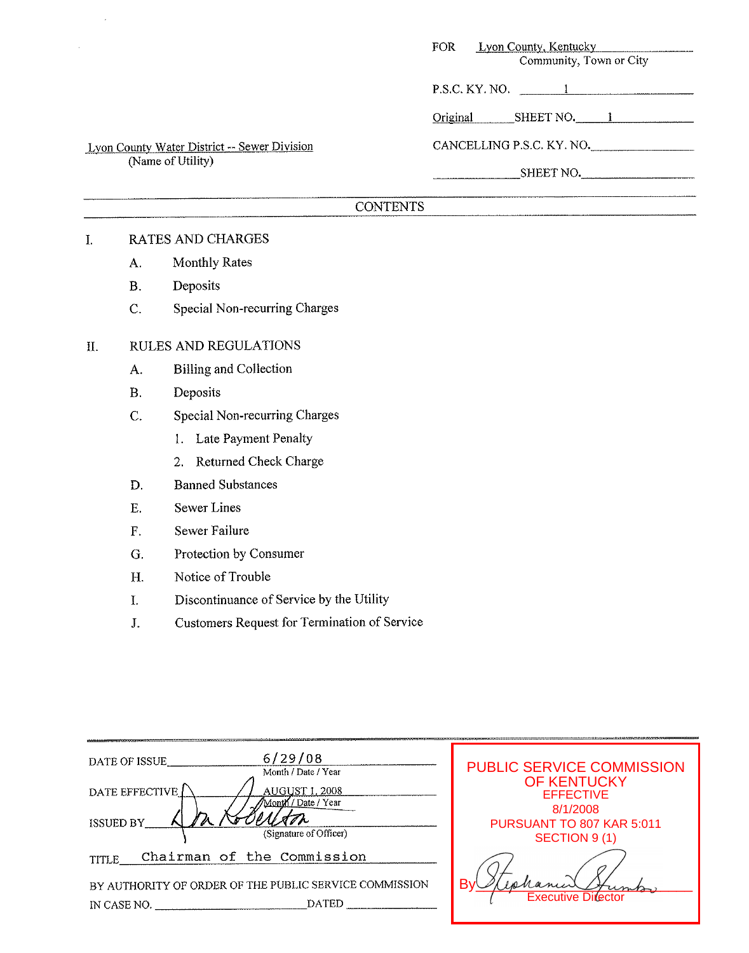| FOR                       | Lyon County, Kentucky<br>Community, Town or City |
|---------------------------|--------------------------------------------------|
| P.S.C. KY. NO.            |                                                  |
| Original                  | SHEET NO. 1                                      |
| CANCELLING P.S.C. KY. NO. |                                                  |
| SHEET NO.                 |                                                  |
|                           |                                                  |

# Lyon Countv Water District -- Sewer Division (Name of Utility)

# **CONTENTS**

## I. RATES AND CHARGES

- A. Monthly Rates
- B. Deposits
- C. Special Non-recurring Charges

### 11. RULES AND REGULATlONS

- A. Billing and Collection
- **B.** Deposits
- C. Special Non-recurring Charges
	- 1. Late Payment Penalty
	- *2.* Returned Check Charge
- D. Banned Substances
- E. Sewer Lines
- F. Sewer Failure
- G. Protection by Consumer
- H. Notice of Trouble
- I. Discontinuance of Service by the Utility
- J. Customers Request for Termination of Service

| 6/29/08<br>DATE OF ISSUE<br>Month / Date / Year                                       | <b>PUBLIC SERVICE COMMISSION</b>                   |
|---------------------------------------------------------------------------------------|----------------------------------------------------|
| DATE EFFECTIVE<br>AUGUST 1, 2008<br>Month / Date / Year                               | <b>OF KENTUCKY</b><br><b>EFFECTIVE</b><br>8/1/2008 |
| <b>ISSUED BY</b><br>(Signature of Officer)                                            | PURSUANT TO 807 KAR 5:011<br>SECTION 9 (1)         |
| Chairman of the Commission<br>TITLE                                                   |                                                    |
| BY AUTHORITY OF ORDER OF THE PUBLIC SERVICE COMMISSION<br><b>DATED</b><br>IN CASE NO. | <b>Executive</b>                                   |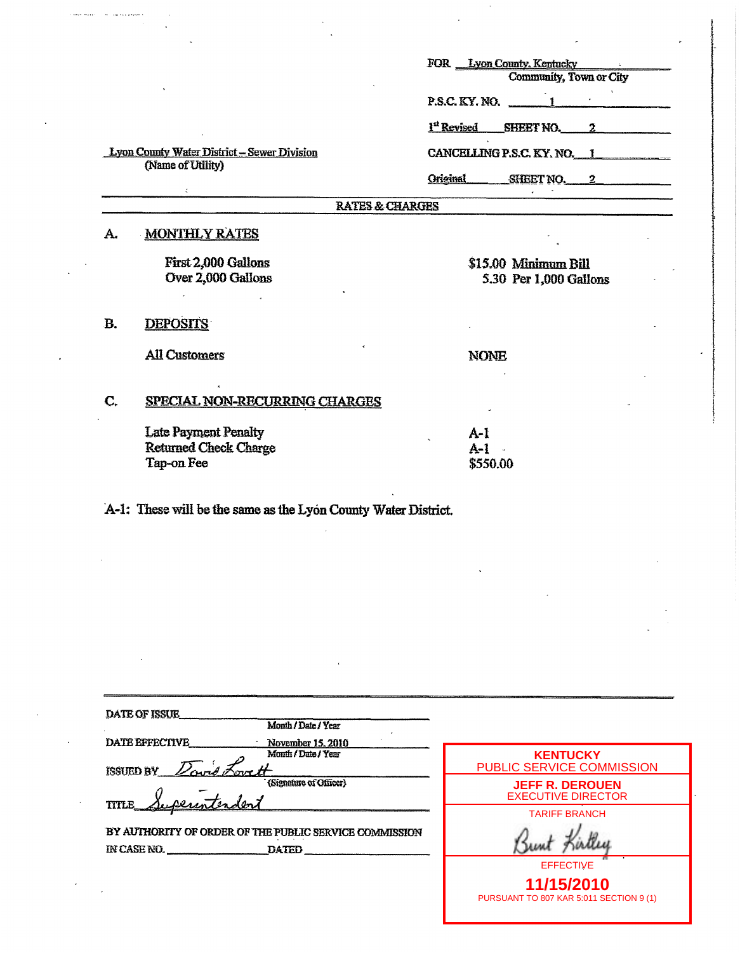|    |                                                                         | FOR Lyon County, Kentucky                             |
|----|-------------------------------------------------------------------------|-------------------------------------------------------|
|    |                                                                         | Community, Town or City                               |
|    |                                                                         | $P.S.C.KY.NO.$ 1                                      |
|    |                                                                         | <sup>1st</sup> Revised<br>SHEET NO.<br>2 <sup>1</sup> |
|    | <b>Lyon County Water District - Sewer Division</b><br>(Name of Utility) | CANCELLING P.S.C. KY, NO. 1                           |
|    |                                                                         | <b>Original</b><br>SHEET NO.<br>$2^{\circ}$           |
|    | <b>RATES &amp; CHARGES</b>                                              |                                                       |
| A. | <b>MONTHLY RATES</b>                                                    |                                                       |
|    | First 2,000 Gallons                                                     | \$15.00 Minimum Bill                                  |
|    | Over 2,000 Gallons                                                      | 5.30 Per 1,000 Gallons                                |
|    |                                                                         |                                                       |
| Β. | <b>DEPOSITS</b>                                                         |                                                       |
|    | <b>All Customers</b>                                                    | <b>NONE</b>                                           |
|    |                                                                         |                                                       |
| C. | <b>SPECIAL NON-RECURRING CHARGES</b>                                    |                                                       |
|    | <b>Late Payment Penalty</b>                                             | $A-1$                                                 |
|    | <b>Returned Check Charge</b>                                            | $A-1$                                                 |
|    | Tap-on Fee                                                              | \$550.00                                              |
|    |                                                                         |                                                       |
|    |                                                                         |                                                       |

A-1: These will be the same as the Lyon County Water District.

.<br>Caasta muusikiin min laavata valtaami

| <b>DATE OF ISSUE</b>                                                  | Month / Date / Year                      |                                                                           |
|-----------------------------------------------------------------------|------------------------------------------|---------------------------------------------------------------------------|
| <b>DATE EFFECTIVE</b><br><b>ISSUED BY</b>                             | November 15, 2010<br>Month / Date / Year | <b>KENTUCKY</b><br><b>PUBLIC SERVICE COMMISSION</b>                       |
| <b>TITLE</b>                                                          | (Signature of Officer)                   | <b>JEFF R. DEROUEN</b><br><b>EXECUTIVE DIRECTOR</b>                       |
| BY AUTHORITY OF ORDER OF THE PUBLIC SERVICE COMMISSION<br>IN CASE NO. | <b>DATED</b>                             | <b>TARIFF BRANCH</b>                                                      |
|                                                                       |                                          | <b>EFFECTIVE</b><br>11/15/2010<br>PURSUANT TO 807 KAR 5:011 SECTION 9 (1) |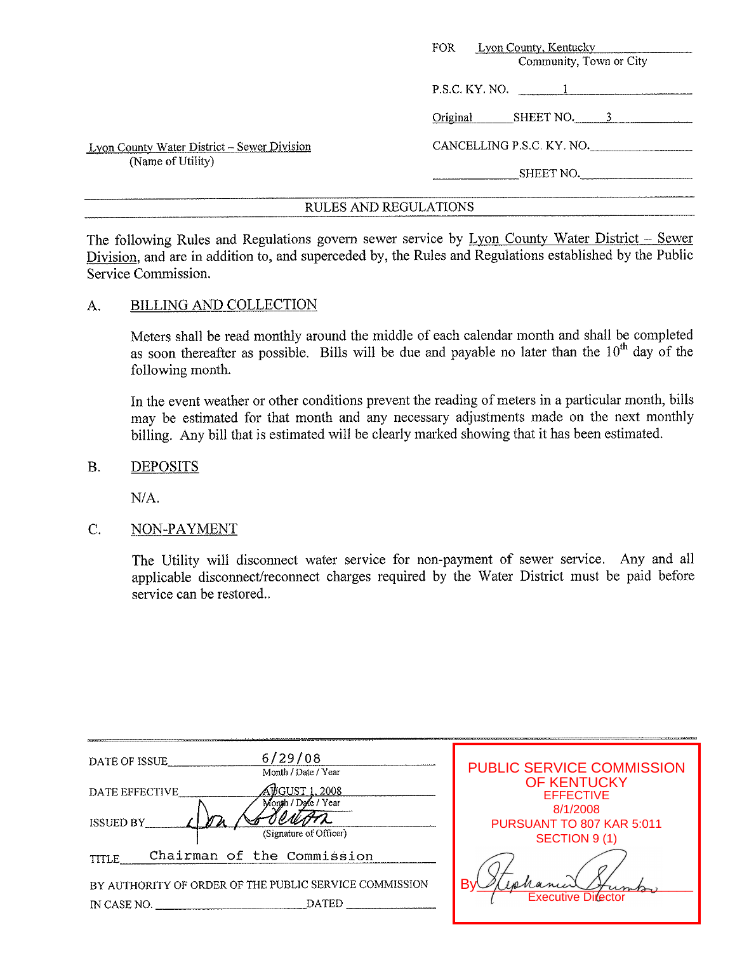|                                             | Lyon County, Kentucky<br><b>FOR</b><br>Community, Town or City |
|---------------------------------------------|----------------------------------------------------------------|
|                                             | P.S.C. KY. NO.                                                 |
|                                             | Original<br>SHEET NO.                                          |
| Lyon County Water District - Sewer Division | CANCELLING P.S.C. KY. NO.                                      |
| (Name of Utility)                           | SHEET NO.                                                      |
|                                             |                                                                |

The following Rules and Regulations govern sewer service by Lyon County Water District - Sewer Division, and are in addition to, and superceded by, the Rules and Regulations established by the Public Service Commission.

### A. BILLING AND COLLECTION

Meters shall be read monthly around the middle of each calendar month and shall be completed as soon thereafter as possible. Bills will be due and payable no later than the  $10<sup>th</sup>$  day of the following month.

In the event weather or other conditions prevent the reading of meters in a particular month, bills may be estimated for that month and any necessary adjustments made on the next monthly billing. Any bill that is estimated will be clearly marked showing that it has been estimated.

B. DEPOSITS

NIA.

#### C. NON-PAYMENT

The Utility will disconnect water service for non-payment of sewer service. Any and all applicable disconnect/reconnect charges required by the Water District must be paid before service can be restored..

| 6/29/08<br>DATE OF ISSUE<br>Month / Date / Year                                       | <b>PUBLIC SERVICE COMMISSION</b>                       |
|---------------------------------------------------------------------------------------|--------------------------------------------------------|
| <u> VUGUST 1, 2008 </u><br>DATE EFFECTIVE<br>Month / Date / Year                      | <b>OF KENTUCKY</b><br><b>EFFECTIVE</b>                 |
| <b>ISSUED BY</b><br>(Signature of Officer)                                            | 8/1/2008<br>PURSUANT TO 807 KAR 5:011<br>SECTION 9 (1) |
| Chairman of the Commission<br><b>TITLE</b>                                            |                                                        |
| BY AUTHORITY OF ORDER OF THE PUBLIC SERVICE COMMISSION<br><b>DATED</b><br>IN CASE NO. | hanner<br>R۱<br><b>Executive Director</b>              |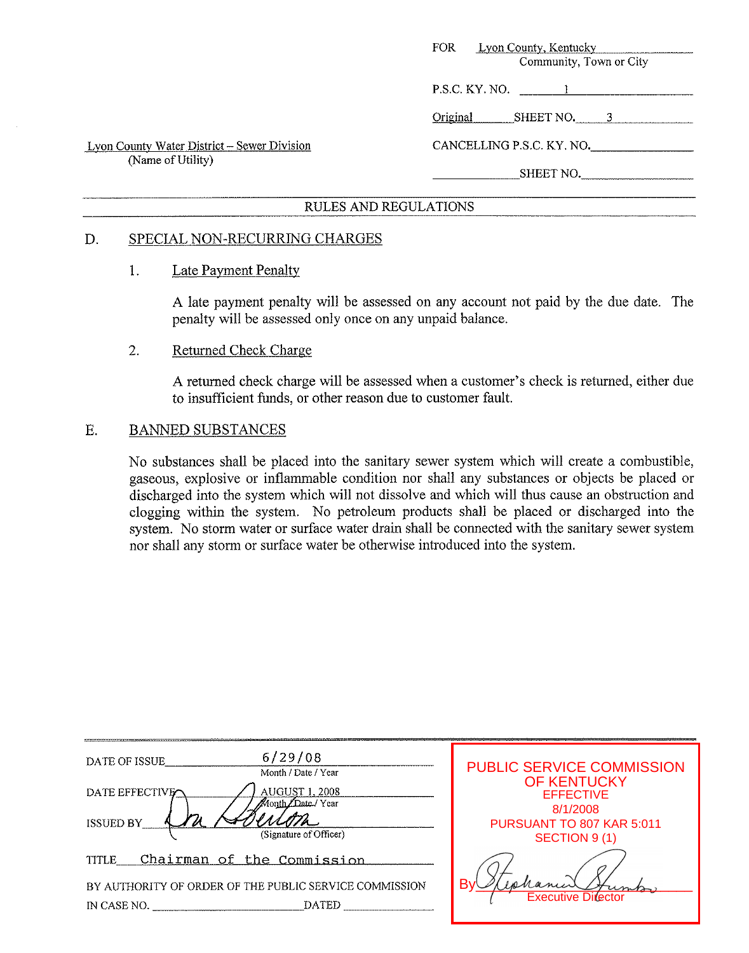|                                                                         | FOR .<br>Lyon County, Kentucky<br>Community, Town or City |
|-------------------------------------------------------------------------|-----------------------------------------------------------|
|                                                                         | $P.S.C.$ KY, NO. $1$                                      |
|                                                                         | Original<br>SHEET NO. 3                                   |
| <b>Lyon County Water District – Sewer Division</b><br>(Name of Utility) | CANCELLING P.S.C. KY. NO.                                 |
|                                                                         | SHEET NO.                                                 |
|                                                                         |                                                           |

#### D. SPECIAL NON-RECURRING CHARGES

#### 1. Late Payment Penalty

A late payment penalty will be assessed on any account not paid by the due date. The penalty will be assessed only once on any unpaid balance.

#### 2. Returned Check Charge

A returned check charge will be assessed when a customer's check is returned, either due to insufficient funds, or other reason due to customer fault.

#### E. BANNED SUBSTANCES

No substances shall be placed into the sanitary sewer system which will create a combustible, gaseous, explosive or inflammable condition nor shall any substances or objects be placed or discharged into the system which will not dissolve and which will thus cause an obstruction and clogging within the system. No petroleum products shall be placed or discharged into the system. No storm water or surface water drain shall be connected with the sanitary sewer system nor shall any storm or surface water be otherwise introduced into the system.

| <b>PUBLIC SERVICE COMMISSION</b><br>Month / Date / Year                                                                 |  |
|-------------------------------------------------------------------------------------------------------------------------|--|
| <b>OF KENTUCKY</b><br><b>AUGUST 1, 2008</b><br>DATE EFFECTIVE<br><b>EFFECTIVE</b><br>Tate / Year<br>8/1/2008            |  |
| <b>ISSUED BY</b><br>PURSUANT TO 807 KAR 5:011<br>(Signature of Officer)<br>SECTION 9 (1)                                |  |
| Chairman of the Commission<br><b>TITLE</b>                                                                              |  |
| B<br>BY AUTHORITY OF ORDER OF THE PUBLIC SERVICE COMMISSION<br><b>Executive Director</b><br><b>DATED</b><br>IN CASE NO. |  |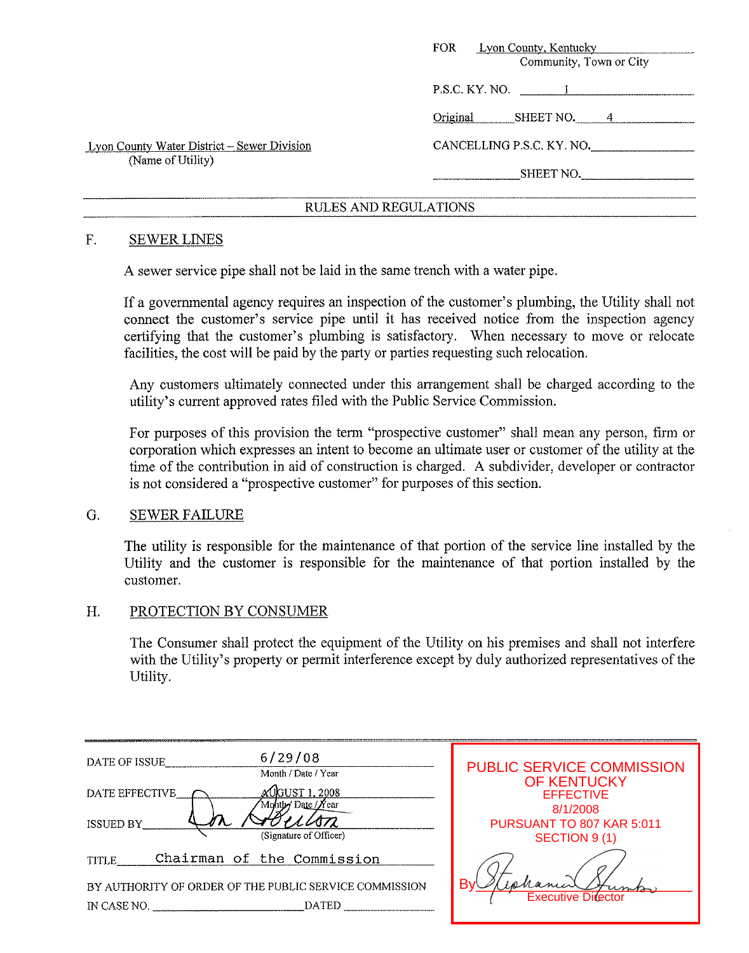|                                                                  | <b>Lyon County, Kentucky</b><br><b>FOR</b><br>Community, Town or City |
|------------------------------------------------------------------|-----------------------------------------------------------------------|
|                                                                  | P.S.C. KY. NO. 1                                                      |
|                                                                  | Original<br>SHEET NO.<br>4                                            |
| Lyon County Water District – Sewer Division<br>(Name of Utility) | CANCELLING P.S.C. KY. NO.                                             |
|                                                                  | SHEET NO.                                                             |

#### F. SEWER LINES

A sewer service pipe shall not be laid in the same trench with a water pipe.

If a governmental agency requires an inspection of the customer's plumbing, the Utility shall not connect the customer's service pipe until it has received notice from the inspection agency certifying that the customer's plumbing is satisfactory. When necessary to move or relocate facilities, the cost will be paid by the party or parties requesting such relocation.

Any customers ultimately connected under this arrangement shall be charged according to the utility's current approved rates filed with the Public Service Commission.

For purposes of this provision the term "prospective customer" shall mean any person, firm or corporation which expresses an intent to become an ultimate user or customer of the utility at the time of the contribution in aid of construction is charged. **A** subdivider, developer or contractor is not considered a "prospective customer" for purposes of this section.

#### G. SEWER FAILURE

The utility is responsible for the maintenance of that portion of the service line installed by the Utility and the customer is responsible for the maintenance of that portion installed by the customer.

#### H. PROTECTION BY CONSUMER

The Consumer shall protect the equipment of the Utility on his premises and shall not interfere with the Utility's property or permit interference except by duly authorized representatives of the Utility.

| 6/29/08<br>DATE OF ISSUE<br>Month / Date / Year        | <b>PUBLIC SERVICE COMMISSION</b>          |
|--------------------------------------------------------|-------------------------------------------|
| JGUST 1. 2008<br>DATE EFFECTIVE<br>Monthy Date / Near  | <b>OF KENTUCKY</b><br><b>EFFECTIVE</b>    |
| <b>ISSUED BY</b><br>(Signature of Officer)             | 8/1/2008<br>PURSUANT TO 807 KAR 5:011     |
| Chairman of the Commission<br><b>TITLE</b>             | SECTION 9(1)                              |
| BY AUTHORITY OF ORDER OF THE PUBLIC SERVICE COMMISSION | R١<br>enance<br><b>Executive Director</b> |
| <b>DATED</b><br>IN CASE NO.                            |                                           |